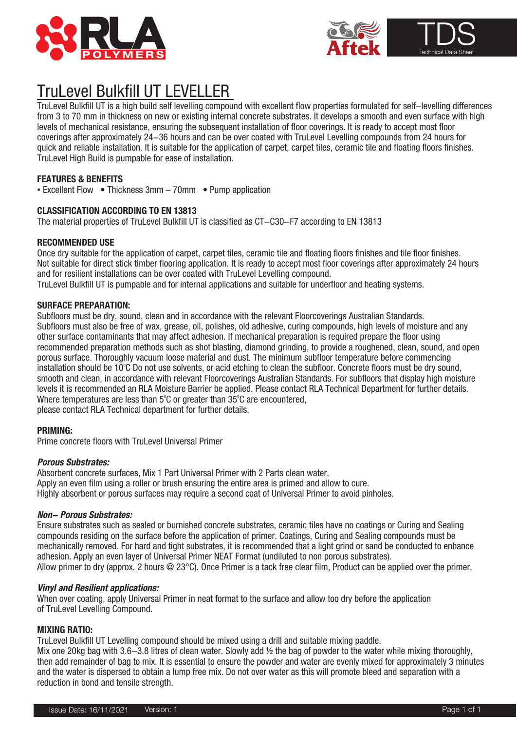



# TruLevel Bulkfill UT LEVELLER

coverings aner approximately 24–36 nours and can be over coated with TruLevel Levelling compounds from 24 nours fo<br>quick and reliable installation. It is suitable for the application of carpet, carpet tiles, ceramic tile a TruLevel Bulkfill UT is a high build self levelling compound with excellent flow properties formulated for self-levelling differences from 3 to 70 mm in thickness on new or existing internal concrete substrates. It develops a smooth and even surface with high levels of mechanical resistance, ensuring the subsequent installation of floor coverings. It is ready to accept most floor coverings after approximately 24-36 hours and can be over coated with TruLevel Levelling compounds from 24 hours for TruLevel High Build is pumpable for ease of installation.

# **FEATURES & BENEFITS**

• Excellent Flow • Thickness 3mm – 70mm • Pump application

# **CLASSIFICATION ACCORDING TO EN 13813**

The material properties of TruLevel Bulkfill UT is classified as CT-C30-F7 according to EN 13813

# **RECOMMENDED USE**

Once dry suitable for the application of carpet, carpet tiles, ceramic tile and floating floors finishes and tile floor finishes. Not suitable for direct stick timber flooring application. It is ready to accept most floor coverings after approximately 24 hours and for resilient installations can be over coated with TruLevel Levelling compound. TruLevel Bulkfill UT is pumpable and for internal applications and suitable for underfloor and heating systems.

## **SURFACE PREPARATION:**

Subfloors must be dry, sound, clean and in accordance with the relevant Floorcoverings Australian Standards. Subfloors must also be free of wax, grease, oil, polishes, old adhesive, curing compounds, high levels of moisture and any other surface contaminants that may affect adhesion. If mechanical preparation is required prepare the floor using recommended preparation methods such as shot blasting, diamond grinding, to provide a roughened, clean, sound, and open porous surface. Thoroughly vacuum loose material and dust. The minimum subfloor temperature before commencing installation should be 10°C Do not use solvents, or acid etching to clean the subfloor. Concrete floors must be dry sound, smooth and clean, in accordance with relevant Floorcoverings Australian Standards. For subfloors that display high moisture levels it is recommended an RLA Moisture Barrier be applied. Please contact RLA Technical Department for further details. Where temperatures are less than  $5^{\circ}$ C or greater than  $35^{\circ}$ C are encountered, please contact RLA Technical department for further details.

# **PRIMING:**

Prime concrete floors with TruLevel Universal Primer

# **Porous Substrates:**

Absorbent concrete surfaces, Mix 1 Part Universal Primer with 2 Parts clean water. Apply an even film using a roller or brush ensuring the entire area is primed and allow to cure. Highly absorbent or porous surfaces may require a second coat of Universal Primer to avoid pinholes.

#### **Non- Porous Substrates:**

Ensure substrates such as sealed or burnished concrete substrates, ceramic tiles have no coatings or Curing and Sealing compounds residing on the surface before the application of primer. Coatings, Curing and Sealing compounds must be mechanically removed. For hard and tight substrates, it is recommended that a light grind or sand be conducted to enhance adhesion. Apply an even layer of Universal Primer NEAT Format (undiluted to non porous substrates). Allow primer to dry (approx. 2 hours @ 23°C). Once Primer is a tack free clear film, Product can be applied over the primer.

### **Vinyl and Resilient applications:**

When over coating, apply Universal Primer in neat format to the surface and allow too dry before the application of TruLevel Levelling Compound.

### **MIXING RATIO:**

TruLevel Bulkfill UT Levelling compound should be mixed using a drill and suitable mixing paddle. Mix one 20kg bag with 3.6-3.8 litres of clean water. Slowly add 1/2 the bag of powder to the water while mixing thoroughly, then add remainder of bag to mix. It is essential to ensure the powder and water are evenly mixed for approximately 3 minutes and the water is dispersed to obtain a lump free mix. Do not over water as this will promote bleed and separation with a reduction in bond and tensile strength.